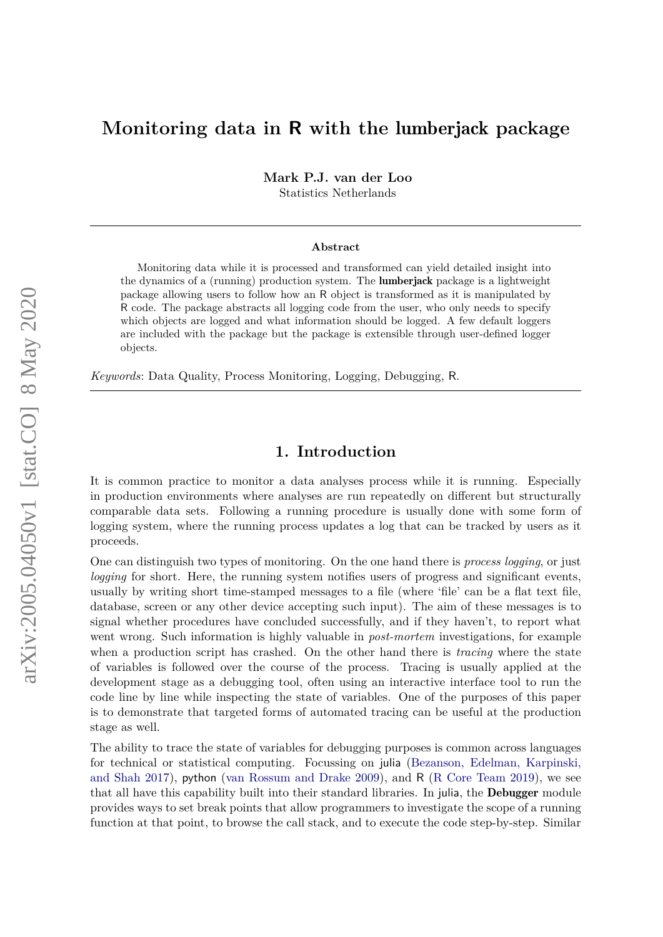# **Monitoring data in R with the** lumberjack **package**

**Mark P.J. van der Loo**

Statistics Netherlands

#### **Abstract**

Monitoring data while it is processed and transformed can yield detailed insight into the dynamics of a (running) production system. The lumberjack package is a lightweight package allowing users to follow how an R object is transformed as it is manipulated by R code. The package abstracts all logging code from the user, who only needs to specify which objects are logged and what information should be logged. A few default loggers are included with the package but the package is extensible through user-defined logger objects.

*Keywords*: Data Quality, Process Monitoring, Logging, Debugging, R.

### **1. Introduction**

It is common practice to monitor a data analyses process while it is running. Especially in production environments where analyses are run repeatedly on different but structurally comparable data sets. Following a running procedure is usually done with some form of logging system, where the running process updates a log that can be tracked by users as it proceeds.

One can distinguish two types of monitoring. On the one hand there is *process logging*, or just *logging* for short. Here, the running system notifies users of progress and significant events, usually by writing short time-stamped messages to a file (where 'file' can be a flat text file, database, screen or any other device accepting such input). The aim of these messages is to signal whether procedures have concluded successfully, and if they haven't, to report what went wrong. Such information is highly valuable in *post-mortem* investigations, for example when a production script has crashed. On the other hand there is *tracing* where the state of variables is followed over the course of the process. Tracing is usually applied at the development stage as a debugging tool, often using an interactive interface tool to run the code line by line while inspecting the state of variables. One of the purposes of this paper is to demonstrate that targeted forms of automated tracing can be useful at the production stage as well.

The ability to trace the state of variables for debugging purposes is common across languages for technical or statistical computing. Focussing on julia [\(Bezanson, Edelman, Karpinski,](#page-11-0) [and Shah](#page-11-0) [2017\)](#page-11-0), python [\(van Rossum and Drake](#page-11-1) [2009\)](#page-11-1), and R [\(R Core Team](#page-11-2) [2019\)](#page-11-2), we see that all have this capability built into their standard libraries. In julia, the Debugger module provides ways to set break points that allow programmers to investigate the scope of a running function at that point, to browse the call stack, and to execute the code step-by-step. Similar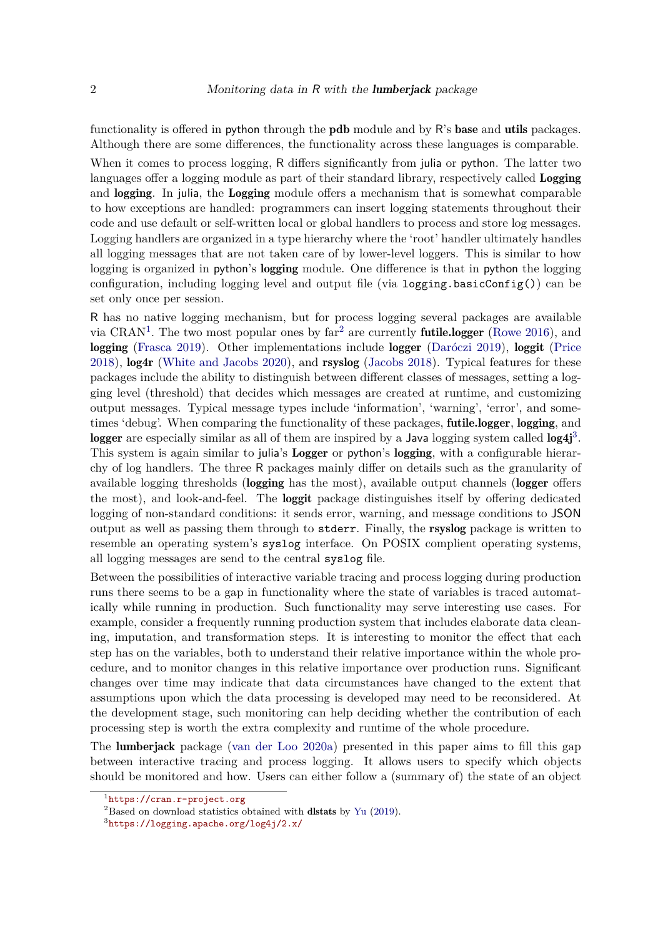functionality is offered in python through the **pdb** module and by R's **base** and **utils** packages. Although there are some differences, the functionality across these languages is comparable.

When it comes to process logging, R differs significantly from julia or python. The latter two languages offer a logging module as part of their standard library, respectively called Logging and **logging**. In julia, the **Logging** module offers a mechanism that is somewhat comparable to how exceptions are handled: programmers can insert logging statements throughout their code and use default or self-written local or global handlers to process and store log messages. Logging handlers are organized in a type hierarchy where the 'root' handler ultimately handles all logging messages that are not taken care of by lower-level loggers. This is similar to how logging is organized in python's logging module. One difference is that in python the logging configuration, including logging level and output file (via logging.basicConfig()) can be set only once per session.

R has no native logging mechanism, but for process logging several packages are available via CRAN<sup>[1](#page-1-0)</sup>. The two most popular ones by  $far^2$  $far^2$  are currently **futile.logger** [\(Rowe](#page-11-3) [2016\)](#page-11-3), and logging [\(Frasca](#page-11-4) [2019\)](#page-11-4). Other implementations include logger [\(Daróczi](#page-11-5) [2019\)](#page-11-5), loggit [\(Price](#page-11-6) [2018\)](#page-11-6), log4r [\(White and Jacobs](#page-11-7) [2020\)](#page-11-7), and rsyslog [\(Jacobs](#page-11-8) [2018\)](#page-11-8). Typical features for these packages include the ability to distinguish between different classes of messages, setting a logging level (threshold) that decides which messages are created at runtime, and customizing output messages. Typical message types include 'information', 'warning', 'error', and sometimes 'debug'. When comparing the functionality of these packages, **futile.logger**, **logging**, and logger are especially similar as all of them are inspired by a Java logging system called  $log 4j^3$  $log 4j^3$ . This system is again similar to julia's Logger or python's logging, with a configurable hierarchy of log handlers. The three R packages mainly differ on details such as the granularity of available logging thresholds (logging has the most), available output channels (logger offers the most), and look-and-feel. The loggit package distinguishes itself by offering dedicated logging of non-standard conditions: it sends error, warning, and message conditions to JSON output as well as passing them through to stderr. Finally, the rsyslog package is written to resemble an operating system's syslog interface. On POSIX complient operating systems, all logging messages are send to the central syslog file.

Between the possibilities of interactive variable tracing and process logging during production runs there seems to be a gap in functionality where the state of variables is traced automatically while running in production. Such functionality may serve interesting use cases. For example, consider a frequently running production system that includes elaborate data cleaning, imputation, and transformation steps. It is interesting to monitor the effect that each step has on the variables, both to understand their relative importance within the whole procedure, and to monitor changes in this relative importance over production runs. Significant changes over time may indicate that data circumstances have changed to the extent that assumptions upon which the data processing is developed may need to be reconsidered. At the development stage, such monitoring can help deciding whether the contribution of each processing step is worth the extra complexity and runtime of the whole procedure.

The lumberjack package [\(van der Loo](#page-11-9) [2020a\)](#page-11-9) presented in this paper aims to fill this gap between interactive tracing and process logging. It allows users to specify which objects should be monitored and how. Users can either follow a (summary of) the state of an object

<span id="page-1-0"></span><sup>1</sup> <https://cran.r-project.org>

<span id="page-1-1"></span><sup>2</sup>Based on download statistics obtained with dlstats by [Yu](#page-11-10) [\(2019\)](#page-11-10).

<span id="page-1-2"></span><sup>3</sup> <https://logging.apache.org/log4j/2.x/>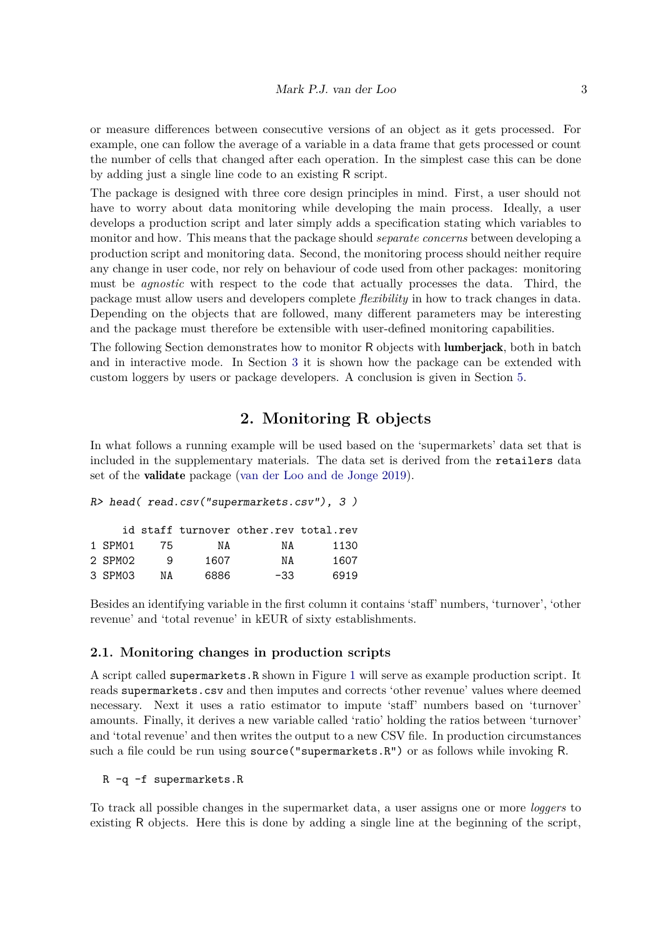or measure differences between consecutive versions of an object as it gets processed. For example, one can follow the average of a variable in a data frame that gets processed or count the number of cells that changed after each operation. In the simplest case this can be done by adding just a single line code to an existing R script.

The package is designed with three core design principles in mind. First, a user should not have to worry about data monitoring while developing the main process. Ideally, a user develops a production script and later simply adds a specification stating which variables to monitor and how. This means that the package should *separate concerns* between developing a production script and monitoring data. Second, the monitoring process should neither require any change in user code, nor rely on behaviour of code used from other packages: monitoring must be *agnostic* with respect to the code that actually processes the data. Third, the package must allow users and developers complete *flexibility* in how to track changes in data. Depending on the objects that are followed, many different parameters may be interesting and the package must therefore be extensible with user-defined monitoring capabilities.

The following Section demonstrates how to monitor R objects with **lumberjack**, both in batch and in interactive mode. In Section [3](#page-8-0) it is shown how the package can be extended with custom loggers by users or package developers. A conclusion is given in Section [5.](#page-10-0)

# **2. Monitoring R objects**

In what follows a running example will be used based on the 'supermarkets' data set that is included in the supplementary materials. The data set is derived from the retailers data set of the validate package [\(van der Loo and de Jonge](#page-11-11) [2019\)](#page-11-11).

```
R> head( read.csv("supermarkets.csv"), 3 )
```

|         |    |      | id staff turnover other.rev total.rev |      |
|---------|----|------|---------------------------------------|------|
| 1 SPM01 | 75 | NA   | NA                                    | 1130 |
| 2 SPM02 | q  | 1607 | ΝA                                    | 1607 |
| 3 SPM03 | ΝA | 6886 | $-33.$                                | 6919 |

Besides an identifying variable in the first column it contains 'staff' numbers, 'turnover', 'other revenue' and 'total revenue' in kEUR of sixty establishments.

#### <span id="page-2-0"></span>**2.1. Monitoring changes in production scripts**

A script called supermarkets.R shown in Figure [1](#page-3-0) will serve as example production script. It reads supermarkets.csv and then imputes and corrects 'other revenue' values where deemed necessary. Next it uses a ratio estimator to impute 'staff' numbers based on 'turnover' amounts. Finally, it derives a new variable called 'ratio' holding the ratios between 'turnover' and 'total revenue' and then writes the output to a new CSV file. In production circumstances such a file could be run using source("supermarkets.R") or as follows while invoking R.

#### R -q -f supermarkets.R

To track all possible changes in the supermarket data, a user assigns one or more *loggers* to existing R objects. Here this is done by adding a single line at the beginning of the script,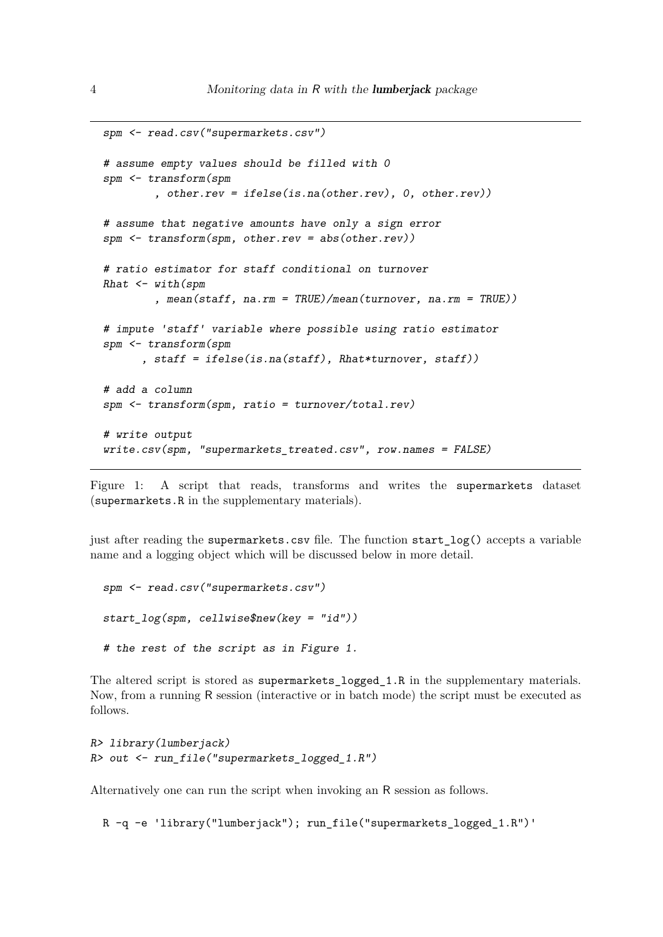```
spm <- read.csv("supermarkets.csv")
# assume empty values should be filled with 0
spm <- transform(spm
        , other.rev = ifelse(is.na(other.rev), 0, other.rev))
# assume that negative amounts have only a sign error
spm \leq transform(spm, other.rev = abs(other.rev))
# ratio estimator for staff conditional on turnover
Rhat \leq with (spm
        , mean(staff, na.rm = TRUE)/mean(turnover, na.rm = TRUE))
# impute 'staff' variable where possible using ratio estimator
spm <- transform(spm
      , staff = ifelse(is.na(staff), Rhat*turnover, staff))
# add a column
spm <- transform(spm, ratio = turnover/total.rev)
# write output
write.csv(spm, "supermarkets_treated.csv", row.names = FALSE)
```
<span id="page-3-0"></span>Figure 1: A script that reads, transforms and writes the supermarkets dataset (supermarkets.R in the supplementary materials).

just after reading the supermarkets.csv file. The function start\_log() accepts a variable name and a logging object which will be discussed below in more detail.

```
spm <- read.csv("supermarkets.csv")
start_log(spm, cellwise$new(key = "id"))
# the rest of the script as in Figure 1.
```
The altered script is stored as supermarkets\_logged\_1.R in the supplementary materials. Now, from a running R session (interactive or in batch mode) the script must be executed as follows.

```
R> library(lumberjack)
R> out <- run_file("supermarkets_logged_1.R")
```
Alternatively one can run the script when invoking an R session as follows.

R -q -e 'library("lumberjack"); run\_file("supermarkets\_logged\_1.R")'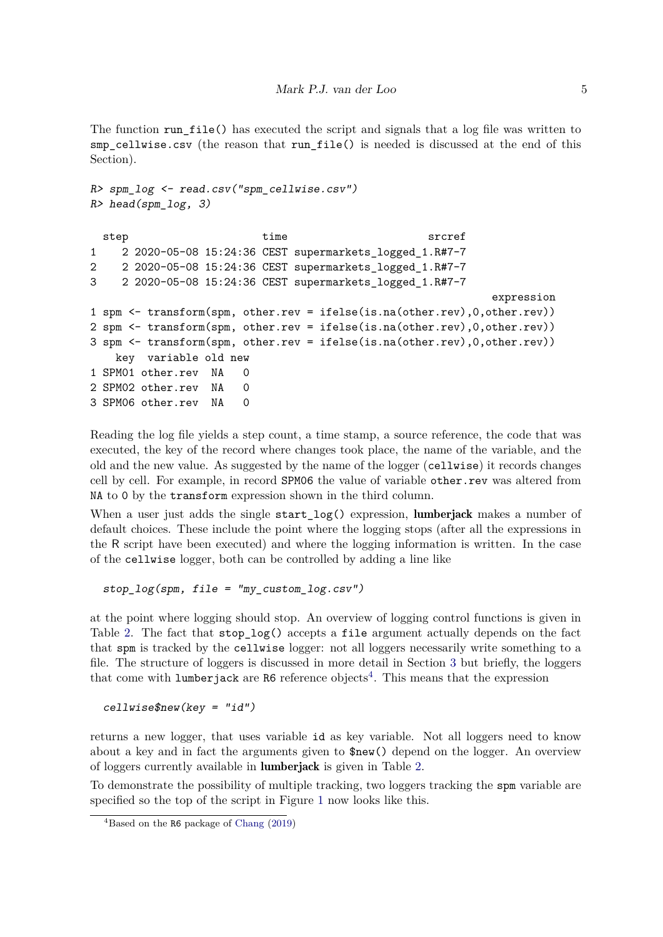The function run file() has executed the script and signals that a log file was written to smp\_cellwise.csv (the reason that run\_file() is needed is discussed at the end of this Section).

```
R> spm_log <- read.csv("spm_cellwise.csv")
R> head(spm_log, 3)
 step between time time srcref
1 2 2020-05-08 15:24:36 CEST supermarkets_logged_1.R#7-7
2 2 2020-05-08 15:24:36 CEST supermarkets_logged_1.R#7-7
3 2 2020-05-08 15:24:36 CEST supermarkets_logged_1.R#7-7
                                                           expression
1 spm <- transform(spm, other.rev = ifelse(is.na(other.rev),0,other.rev))
2 spm <- transform(spm, other.rev = ifelse(is.na(other.rev),0,other.rev))
3 spm <- transform(spm, other.rev = ifelse(is.na(other.rev),0,other.rev))
   key variable old new
1 SPM01 other.rev NA 0
2 SPM02 other.rev NA 0
3 SPM06 other.rev NA 0
```
Reading the log file yields a step count, a time stamp, a source reference, the code that was executed, the key of the record where changes took place, the name of the variable, and the old and the new value. As suggested by the name of the logger (cellwise) it records changes cell by cell. For example, in record SPM06 the value of variable other.rev was altered from NA to 0 by the transform expression shown in the third column.

When a user just adds the single start log() expression, lumberjack makes a number of default choices. These include the point where the logging stops (after all the expressions in the R script have been executed) and where the logging information is written. In the case of the cellwise logger, both can be controlled by adding a line like

stop\_log(spm, file = "my\_custom\_log.csv")

at the point where logging should stop. An overview of logging control functions is given in Table [2.](#page-5-0) The fact that stop\_log() accepts a file argument actually depends on the fact that spm is tracked by the cellwise logger: not all loggers necessarily write something to a file. The structure of loggers is discussed in more detail in Section [3](#page-8-0) but briefly, the loggers that come with lumberjack are  $R6$  reference objects<sup>[4](#page-4-0)</sup>. This means that the expression

cellwise\$new(key = "id")

returns a new logger, that uses variable id as key variable. Not all loggers need to know about a key and in fact the arguments given to \$new() depend on the logger. An overview of loggers currently available in lumberjack is given in Table [2.](#page-5-0)

To demonstrate the possibility of multiple tracking, two loggers tracking the spm variable are specified so the top of the script in Figure [1](#page-3-0) now looks like this.

<span id="page-4-0"></span><sup>4</sup>Based on the R6 package of [Chang](#page-11-12) [\(2019\)](#page-11-12)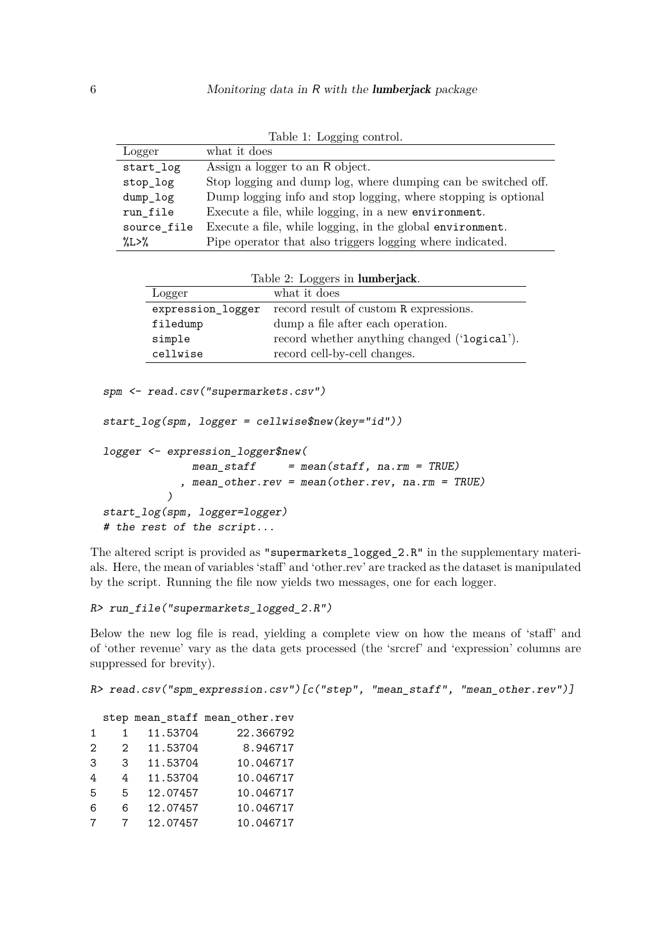| Logger              | what it does                                                   |  |  |  |
|---------------------|----------------------------------------------------------------|--|--|--|
| start_log           | Assign a logger to an R object.                                |  |  |  |
| stop_log            | Stop logging and dump log, where dumping can be switched off.  |  |  |  |
| dump_log            | Dump logging info and stop logging, where stopping is optional |  |  |  |
| run_file            | Execute a file, while logging, in a new environment.           |  |  |  |
| source file         | Execute a file, while logging, in the global environment.      |  |  |  |
| $\frac{\%L>\%}{\%}$ | Pipe operator that also triggers logging where indicated.      |  |  |  |

<span id="page-5-0"></span>

|  | Table 1: Logging control. |  |
|--|---------------------------|--|

| Table 2: Loggers in lumberjack. |                                              |  |  |  |
|---------------------------------|----------------------------------------------|--|--|--|
| Logger                          | what it does                                 |  |  |  |
| expression_logger               | record result of custom R expressions.       |  |  |  |
| filedump                        | dump a file after each operation.            |  |  |  |
| simple                          | record whether anything changed ('logical'). |  |  |  |
| cellwise                        | record cell-by-cell changes.                 |  |  |  |

spm <- read.csv("supermarkets.csv")

```
start_log(spm, logger = cellwise$new(key="id"))
```

```
logger <- expression_logger$new(
```

```
mean\_staff = mean(statff, na.rm = TRUE)
            , mean_other.rev = mean(other.rev, na.rm = TRUE)
          \lambdastart_log(spm, logger=logger)
# the rest of the script...
```
The altered script is provided as "supermarkets\_logged\_2.R" in the supplementary materials. Here, the mean of variables 'staff' and 'other.rev' are tracked as the dataset is manipulated by the script. Running the file now yields two messages, one for each logger.

```
R> run file("supermarkets logged 2.R")
```
Below the new log file is read, yielding a complete view on how the means of 'staff' and of 'other revenue' vary as the data gets processed (the 'srcref' and 'expression' columns are suppressed for brevity).

```
R> read.csv("spm_expression.csv")[c("step", "mean_staff", "mean_other.rev")]
```

|               |               |          | step mean_staff mean_other.rev |
|---------------|---------------|----------|--------------------------------|
| 1             | 1.            | 11.53704 | 22.366792                      |
| $\mathcal{D}$ | $\mathcal{L}$ | 11.53704 | 8.946717                       |
| 3             | 3             | 11.53704 | 10.046717                      |
| 4             | 4             | 11.53704 | 10.046717                      |
| 5             | 5             | 12.07457 | 10.046717                      |
| 6             | 6             | 12.07457 | 10.046717                      |
|               | 7             | 12.07457 | 10.046717                      |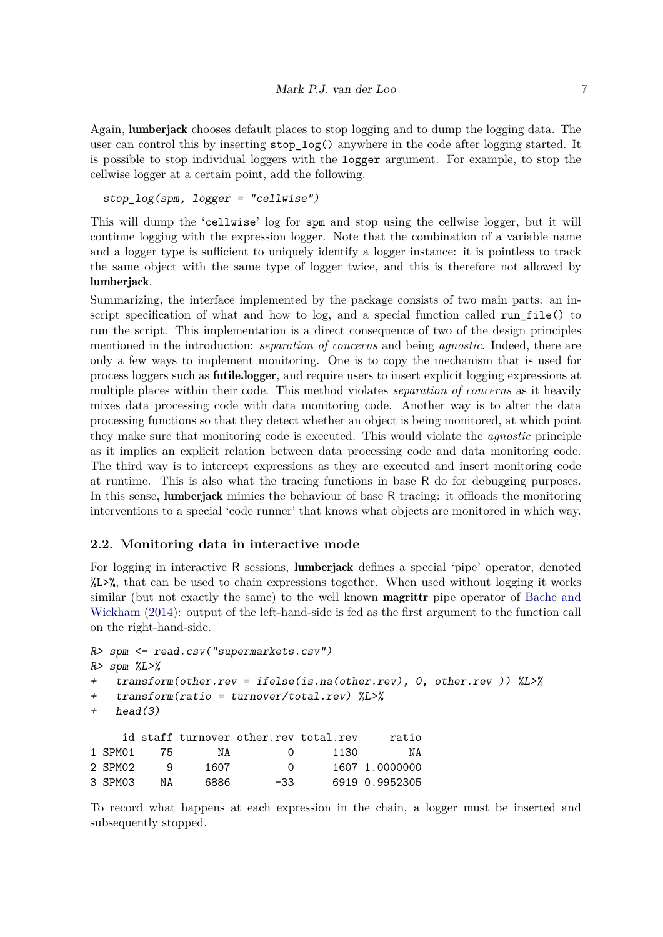Again, lumberjack chooses default places to stop logging and to dump the logging data. The user can control this by inserting stop\_log() anywhere in the code after logging started. It is possible to stop individual loggers with the logger argument. For example, to stop the cellwise logger at a certain point, add the following.

stop\_log(spm, logger = "cellwise")

This will dump the 'cellwise' log for spm and stop using the cellwise logger, but it will continue logging with the expression logger. Note that the combination of a variable name and a logger type is sufficient to uniquely identify a logger instance: it is pointless to track the same object with the same type of logger twice, and this is therefore not allowed by lumberjack.

Summarizing, the interface implemented by the package consists of two main parts: an inscript specification of what and how to log, and a special function called run\_file() to run the script. This implementation is a direct consequence of two of the design principles mentioned in the introduction: *separation of concerns* and being *agnostic*. Indeed, there are only a few ways to implement monitoring. One is to copy the mechanism that is used for process loggers such as futile.logger, and require users to insert explicit logging expressions at multiple places within their code. This method violates *separation of concerns* as it heavily mixes data processing code with data monitoring code. Another way is to alter the data processing functions so that they detect whether an object is being monitored, at which point they make sure that monitoring code is executed. This would violate the *agnostic* principle as it implies an explicit relation between data processing code and data monitoring code. The third way is to intercept expressions as they are executed and insert monitoring code at runtime. This is also what the tracing functions in base R do for debugging purposes. In this sense, lumberjack mimics the behaviour of base R tracing: it offloads the monitoring interventions to a special 'code runner' that knows what objects are monitored in which way.

#### **2.2. Monitoring data in interactive mode**

For logging in interactive R sessions, **lumberiack** defines a special 'pipe' operator, denoted %L>%, that can be used to chain expressions together. When used without logging it works similar (but not exactly the same) to the well known **magrittr** pipe operator of [Bache and](#page-11-13) [Wickham](#page-11-13) [\(2014\)](#page-11-13): output of the left-hand-side is fed as the first argument to the function call on the right-hand-side.

```
R> spm <- read.csv("supermarkets.csv")
R> spm \frac{\%L>\%}{\%}+ transform(other.rev = ifelse(is.na(other.rev), 0, other.rev )) %L>%
   transform(ratio = turnover/total.rev) %L>%
+ head(3)
    id staff turnover other.rev total.rev ratio
1 SPM01 75 NA 0 1130 NA
2 SPM02 9 1607 0 1607 1.0000000
3 SPM03 NA 6886 -33 6919 0.9952305
```
To record what happens at each expression in the chain, a logger must be inserted and subsequently stopped.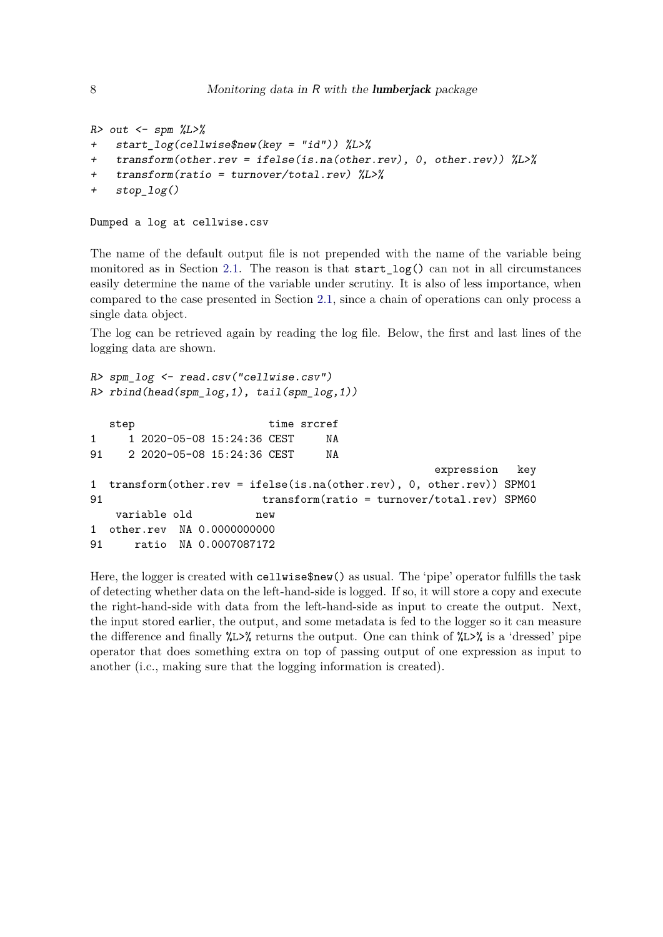```
R> out \leq spm \frac{\%L>\%}{\%}+ start_log(cellwise$new(key = "id")) %L>%
+ transform(other.rev = ifelse(is.na(other.rev), 0, other.rev)) %L>%
    transform(ratio = turnover/total.rev) %L>%
+ stop_log()
```

```
Dumped a log at cellwise.csv
```
The name of the default output file is not prepended with the name of the variable being monitored as in Section [2.1.](#page-2-0) The reason is that start\_log() can not in all circumstances easily determine the name of the variable under scrutiny. It is also of less importance, when compared to the case presented in Section [2.1,](#page-2-0) since a chain of operations can only process a single data object.

The log can be retrieved again by reading the log file. Below, the first and last lines of the logging data are shown.

```
R> spm_log <- read.csv("cellwise.csv")
R> rbind(head(spm_log,1), tail(spm_log,1))
  step time srcref
1 1 2020-05-08 15:24:36 CEST NA
91 2 2020-05-08 15:24:36 CEST NA
                                             expression key
1 transform(other.rev = ifelse(is.na(other.rev), 0, other.rev)) SPM01
91 transform(ratio = turnover/total.rev) SPM60
   variable old new
1 other.rev NA 0.0000000000
91 ratio NA 0.0007087172
```
Here, the logger is created with cellwise\$new() as usual. The 'pipe' operator fulfills the task of detecting whether data on the left-hand-side is logged. If so, it will store a copy and execute the right-hand-side with data from the left-hand-side as input to create the output. Next, the input stored earlier, the output, and some metadata is fed to the logger so it can measure the difference and finally  $\angle L>\angle$  returns the output. One can think of  $\angle L>\angle$  is a 'dressed' pipe operator that does something extra on top of passing output of one expression as input to another (i.c., making sure that the logging information is created).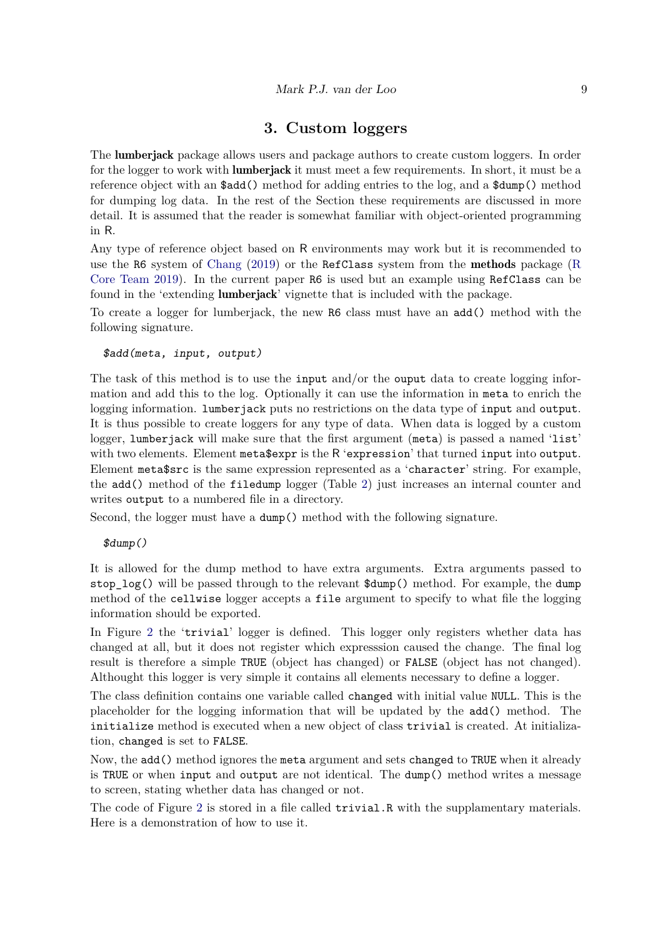# **3. Custom loggers**

<span id="page-8-0"></span>The lumberjack package allows users and package authors to create custom loggers. In order for the logger to work with **lumberjack** it must meet a few requirements. In short, it must be a reference object with an \$add() method for adding entries to the log, and a \$dump() method for dumping log data. In the rest of the Section these requirements are discussed in more detail. It is assumed that the reader is somewhat familiar with object-oriented programming in R.

Any type of reference object based on R environments may work but it is recommended to use the R6 system of [Chang](#page-11-12)  $(2019)$  or the RefClass system from the **methods** package [\(R](#page-11-2)) [Core Team](#page-11-2) [2019\)](#page-11-2). In the current paper R6 is used but an example using RefClass can be found in the 'extending lumberjack' vignette that is included with the package.

To create a logger for lumberjack, the new R6 class must have an add() method with the following signature.

\$add(meta, input, output)

The task of this method is to use the input and/or the ouput data to create logging information and add this to the log. Optionally it can use the information in meta to enrich the logging information. lumberjack puts no restrictions on the data type of input and output. It is thus possible to create loggers for any type of data. When data is logged by a custom logger, lumberjack will make sure that the first argument (meta) is passed a named 'list' with two elements. Element meta\$expr is the R 'expression' that turned input into output. Element meta\$src is the same expression represented as a 'character' string. For example, the add() method of the filedump logger (Table [2\)](#page-5-0) just increases an internal counter and writes output to a numbered file in a directory.

Second, the logger must have a dump() method with the following signature.

\$dump()

It is allowed for the dump method to have extra arguments. Extra arguments passed to stop  $log()$  will be passed through to the relevant  $\delta dump()$  method. For example, the dump method of the cellwise logger accepts a file argument to specify to what file the logging information should be exported.

In Figure [2](#page-9-0) the 'trivial' logger is defined. This logger only registers whether data has changed at all, but it does not register which expresssion caused the change. The final log result is therefore a simple TRUE (object has changed) or FALSE (object has not changed). Althought this logger is very simple it contains all elements necessary to define a logger.

The class definition contains one variable called changed with initial value NULL. This is the placeholder for the logging information that will be updated by the add() method. The initialize method is executed when a new object of class trivial is created. At initialization, changed is set to FALSE.

Now, the add() method ignores the meta argument and sets changed to TRUE when it already is TRUE or when input and output are not identical. The dump() method writes a message to screen, stating whether data has changed or not.

The code of Figure [2](#page-9-0) is stored in a file called trivial.R with the supplamentary materials. Here is a demonstration of how to use it.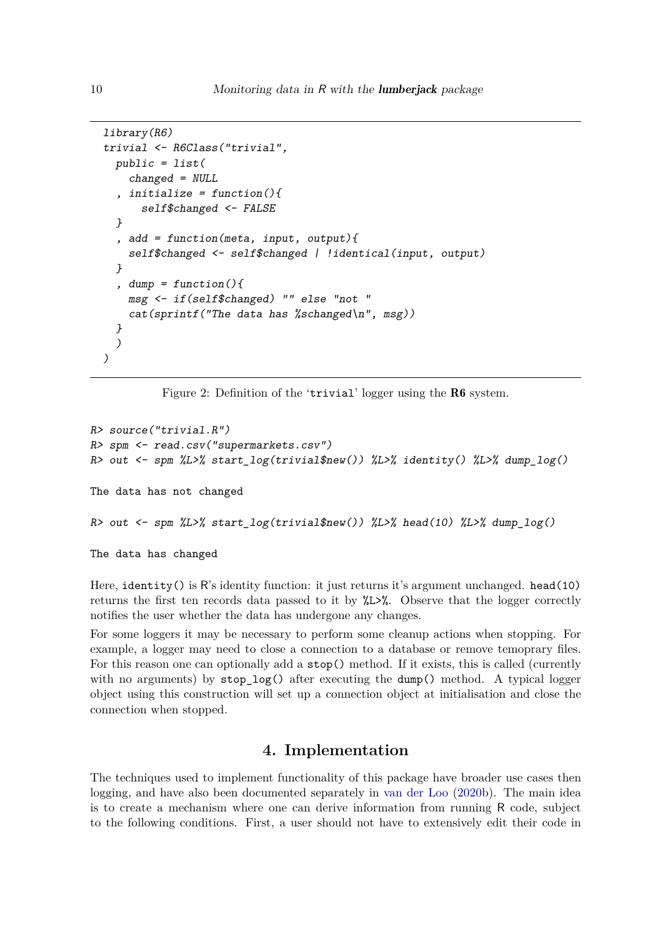```
library(R6)
trivial <- R6Class("trivial",
  public = list(
    changed = NULL
  , initialize = function()self$changed <- FALSE
  }
  , add = function(meta, input, output){
    self$changed <- self$changed | !identical(input, output)
  }
  , dump = function() {
    msg <- if(self$changed) "" else "not "
    cat(sprintf("The data has %schanged\n", msg))
  }
  )
)
```
<span id="page-9-0"></span>Figure 2: Definition of the 'trivial' logger using the **R6** system.

```
R> source("trivial.R")
R> spm <- read.csv("supermarkets.csv")
R> out <- spm %L>% start_log(trivial$new()) %L>% identity() %L>% dump_log()
The data has not changed
R> out <- spm %L>% start_log(trivial$new()) %L>% head(10) %L>% dump_log()
```
The data has changed

Here, identity() is R's identity function: it just returns it's argument unchanged. head(10) returns the first ten records data passed to it by %L>%. Observe that the logger correctly notifies the user whether the data has undergone any changes.

For some loggers it may be necessary to perform some cleanup actions when stopping. For example, a logger may need to close a connection to a database or remove temoprary files. For this reason one can optionally add a stop() method. If it exists, this is called (currently with no arguments) by  $stop_log()$  after executing the dump() method. A typical logger object using this construction will set up a connection object at initialisation and close the connection when stopped.

# **4. Implementation**

The techniques used to implement functionality of this package have broader use cases then logging, and have also been documented separately in [van der Loo](#page-11-14) [\(2020b\)](#page-11-14). The main idea is to create a mechanism where one can derive information from running R code, subject to the following conditions. First, a user should not have to extensively edit their code in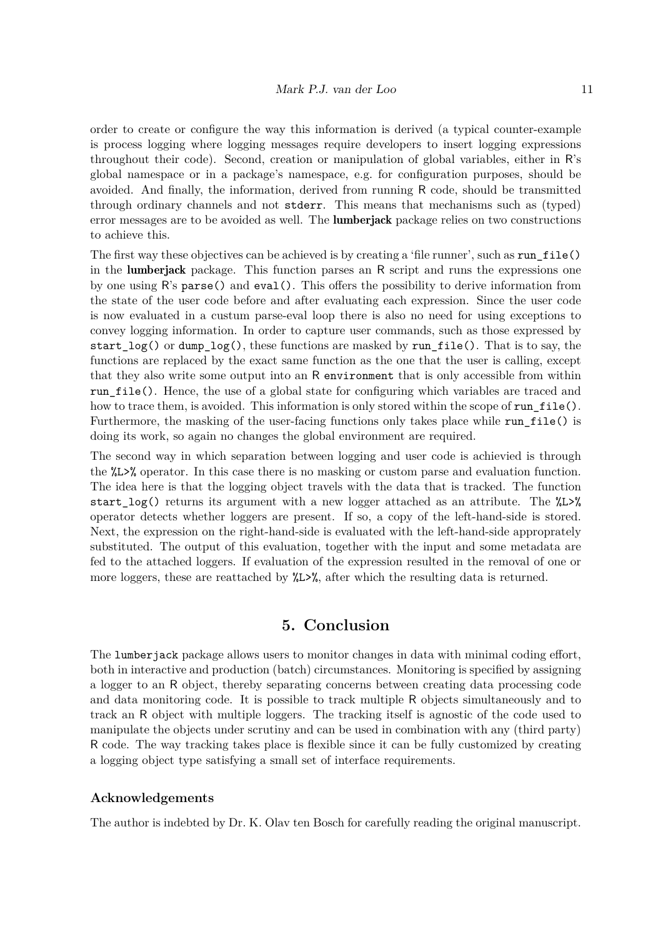order to create or configure the way this information is derived (a typical counter-example is process logging where logging messages require developers to insert logging expressions throughout their code). Second, creation or manipulation of global variables, either in R's global namespace or in a package's namespace, e.g. for configuration purposes, should be avoided. And finally, the information, derived from running R code, should be transmitted through ordinary channels and not stderr. This means that mechanisms such as (typed) error messages are to be avoided as well. The lumberjack package relies on two constructions to achieve this.

The first way these objectives can be achieved is by creating a 'file runner', such as run\_file() in the lumberjack package. This function parses an R script and runs the expressions one by one using R's parse() and eval(). This offers the possibility to derive information from the state of the user code before and after evaluating each expression. Since the user code is now evaluated in a custum parse-eval loop there is also no need for using exceptions to convey logging information. In order to capture user commands, such as those expressed by start  $log()$  or dump  $log()$ , these functions are masked by run file(). That is to say, the functions are replaced by the exact same function as the one that the user is calling, except that they also write some output into an R environment that is only accessible from within run file(). Hence, the use of a global state for configuring which variables are traced and how to trace them, is avoided. This information is only stored within the scope of run file(). Furthermore, the masking of the user-facing functions only takes place while run file() is doing its work, so again no changes the global environment are required.

The second way in which separation between logging and user code is achievied is through the %L>% operator. In this case there is no masking or custom parse and evaluation function. The idea here is that the logging object travels with the data that is tracked. The function start log() returns its argument with a new logger attached as an attribute. The  $\angle L>\angle$ operator detects whether loggers are present. If so, a copy of the left-hand-side is stored. Next, the expression on the right-hand-side is evaluated with the left-hand-side approprately substituted. The output of this evaluation, together with the input and some metadata are fed to the attached loggers. If evaluation of the expression resulted in the removal of one or more loggers, these are reattached by  $\angle L\frac{1}{2}$ , after which the resulting data is returned.

### **5. Conclusion**

<span id="page-10-0"></span>The lumberjack package allows users to monitor changes in data with minimal coding effort, both in interactive and production (batch) circumstances. Monitoring is specified by assigning a logger to an R object, thereby separating concerns between creating data processing code and data monitoring code. It is possible to track multiple R objects simultaneously and to track an R object with multiple loggers. The tracking itself is agnostic of the code used to manipulate the objects under scrutiny and can be used in combination with any (third party) R code. The way tracking takes place is flexible since it can be fully customized by creating a logging object type satisfying a small set of interface requirements.

#### **Acknowledgements**

The author is indebted by Dr. K. Olav ten Bosch for carefully reading the original manuscript.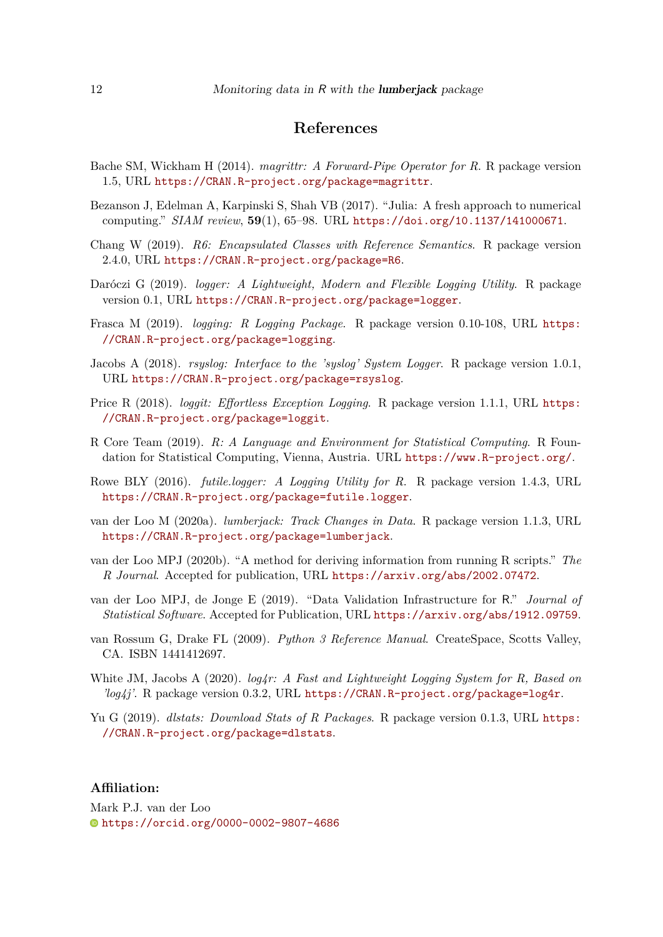# **References**

- <span id="page-11-13"></span>Bache SM, Wickham H (2014). *magrittr: A Forward-Pipe Operator for R*. R package version 1.5, URL <https://CRAN.R-project.org/package=magrittr>.
- <span id="page-11-0"></span>Bezanson J, Edelman A, Karpinski S, Shah VB (2017). "Julia: A fresh approach to numerical computing." *SIAM review*, **59**(1), 65–98. URL <https://doi.org/10.1137/141000671>.
- <span id="page-11-12"></span>Chang W (2019). *R6: Encapsulated Classes with Reference Semantics*. R package version 2.4.0, URL <https://CRAN.R-project.org/package=R6>.
- <span id="page-11-5"></span>Daróczi G (2019). *logger: A Lightweight, Modern and Flexible Logging Utility*. R package version 0.1, URL <https://CRAN.R-project.org/package=logger>.
- <span id="page-11-4"></span>Frasca M (2019). *logging: R Logging Package*. R package version 0.10-108, URL [https:](https://CRAN.R-project.org/package=logging) [//CRAN.R-project.org/package=logging](https://CRAN.R-project.org/package=logging).
- <span id="page-11-8"></span>Jacobs A (2018). *rsyslog: Interface to the 'syslog' System Logger*. R package version 1.0.1, URL <https://CRAN.R-project.org/package=rsyslog>.
- <span id="page-11-6"></span>Price R (2018). *loggit: Effortless Exception Logging*. R package version 1.1.1, URL [https:](https://CRAN.R-project.org/package=loggit) [//CRAN.R-project.org/package=loggit](https://CRAN.R-project.org/package=loggit).
- <span id="page-11-2"></span>R Core Team (2019). *R: A Language and Environment for Statistical Computing*. R Foundation for Statistical Computing, Vienna, Austria. URL <https://www.R-project.org/>.
- <span id="page-11-3"></span>Rowe BLY (2016). *futile.logger: A Logging Utility for R*. R package version 1.4.3, URL <https://CRAN.R-project.org/package=futile.logger>.
- <span id="page-11-9"></span>van der Loo M (2020a). *lumberjack: Track Changes in Data*. R package version 1.1.3, URL <https://CRAN.R-project.org/package=lumberjack>.
- <span id="page-11-14"></span>van der Loo MPJ (2020b). "A method for deriving information from running R scripts." *The R Journal*. Accepted for publication, URL <https://arxiv.org/abs/2002.07472>.
- <span id="page-11-11"></span>van der Loo MPJ, de Jonge E (2019). "Data Validation Infrastructure for R." *Journal of Statistical Software*. Accepted for Publication, URL <https://arxiv.org/abs/1912.09759>.
- <span id="page-11-1"></span>van Rossum G, Drake FL (2009). *Python 3 Reference Manual*. CreateSpace, Scotts Valley, CA. ISBN 1441412697.
- <span id="page-11-7"></span>White JM, Jacobs A (2020). *log4r: A Fast and Lightweight Logging System for R, Based on 'log4j'*. R package version 0.3.2, URL <https://CRAN.R-project.org/package=log4r>.
- <span id="page-11-10"></span>Yu G (2019). *dlstats: Download Stats of R Packages*. R package version 0.1.3, URL [https:](https://CRAN.R-project.org/package=dlstats) [//CRAN.R-project.org/package=dlstats](https://CRAN.R-project.org/package=dlstats).

#### **Affiliation:**

Mark P.J. van der Loo <https://orcid.org/0000-0002-9807-4686>